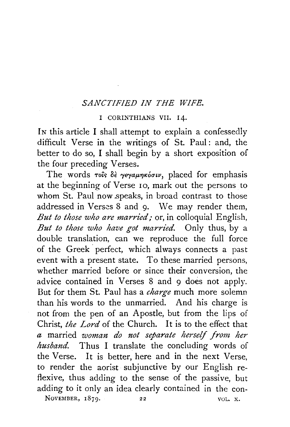## *SANCTIFIED IN THE WIFE.*

## I CORINTHIANS VII. I4.

IN this article I shall attempt to explain a confessedly difficult Verse in the writings of St. Paul: and, the better to do so, I shall begin by a short exposition of the four preceding Verses.

The words τους δε γεγαμηκόσιν, placed for emphasis at the beginning of Verse 10, mark out the persons to whom St. Paul now speaks, in broad contrast to those addressed in Verses 8 and 9. We may render them, *But to those who are married;* or, in colloquial English, *But to those who have got married.* Only thus, by a double translation, can we reproduce the full force of the Greek perfect, which always connects a past event with a present state. To these married persons, whether married before or since **their** conversion, the advice contained in Verses 8 and 9 does not apply. But for them St. Paul has a *charge* much more solemn than his words to the unmarried. And his charge is not from the pen of an Apostle, but from the lips of Christ, *the Lord* of the Church. It is to the effect that *a* married *woman do not separate herself from her husband.* Thus I translate the concluding words of the Verse. It is better, here and in the next Verse, to render the aorist subjunctive by our English reflexive, thus adding to the sense of the passive, but adding to it only an idea clearly contained in the con-NOVEMBER,  $1879.$  22 VOL. X.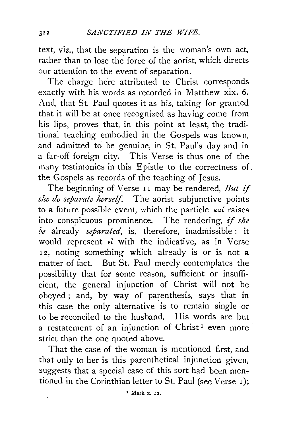text, viz., that the separation is the woman's own act, rather than to lose the force of the aorist, which directs our attention to the event of separation.

The charge here attributed to Christ corresponds exactly with his words as recorded in Matthew xix. 6. And, that St. Paul quotes it as his, taking for granted that it will be at once recognized as having come from his lips, proves that, in this point at least, the traditional teaching embodied in the Gospels was known, and admitted to be genuine, in St. Paul's day and in a far-off foreign city. This Verse is thus one of the many testimonies in this Epistle to the correctness of. the Gospels as records of the teaching of Jesus.

The beginning of Verse 11 may be rendered, *But if she do separate herself.* The aorist subjunctive points to a future possible event, which the particle  $\kappa a_i$  raises into conspicuous prominence. The rendering, if *she be* already *separated,* is, therefore, inadmissible : it would represent *el* with the indicative, as in Verse 12, noting something which already is or is not a matter of fact. But St. Paul merely contemplates the possibility that for some reason, sufficient or insufficient, the general injunction of Christ will not be obeyed ; and, by way of parenthesis, says that in this case the only alternative is to remain single or to be reconciled to the husband. His words are but a restatement of an injunction of Christ<sup>1</sup> even more strict than the one quoted above.

That the case of the woman is mentioned first, and that only to her is this parenthetical injunction given, suggests that a special case of this sort had been mentioned in the Corinthian letter to St. Paul (see Verse I);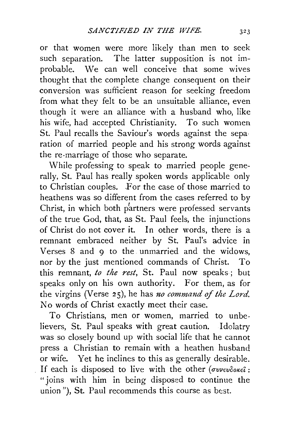or that women were more likely than men to seek such separation. The latter supposition is not improbable. We can well conceive that some wives thought that the complete change consequent on their conversion was sufficient reason for seeking freedom from what they felt to be an unsuitable alliance, even though it were an alliance with a husband who, like his wife, had accepted Christianity. To such women St. Paul recalls the Saviour's words against the sepa· ration of married people and his strong words against the re-marriage of those who separate.

While professing to speak to married people generally, St. Paul has really spoken words applicable only to Christian couples. For the case of those married to heathens was so different from the cases referred to by Christ, in which both partners were professed servants of the true God, that, as St. Paul feels, the injunctions of Christ do not cover it. In other words, there is a remnant embraced neither by St. Paul's advice in Verses 8 and 9 to the unmarried and the widows, nor by the just mentioned commands of Christ. To this remnant, *to the rest,* St. Paul now speaks; but speaks only on his own authority. For them, as for the virgins (Verse 25), he has *1zo command of the Lord.*  No words of Christ exactly meet their case.

To Christians, men or women, married to unbelievers, St. Paul speaks with great caution. Idolatry was so closely bound up with social life that he cannot press a Christian to remain with a heathen husband or wife. Yet he inclines to this as generally desirable. If each is disposed to live with the other ( $\sigma$ vvevookei: "joins with him in being disposed to continue the  $union$ ), St. Paul recommends this course as best.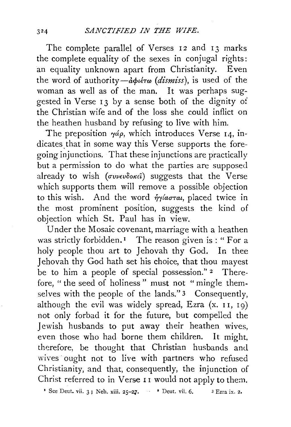The complete parallel of Verses 12 and 13 marks the complete equality of the sexes in conjugal rights: an equality unknown apart from Christianity. Even the word of authority-αφιέτω (dismiss), is used of the woman as well as of the man. It was perhaps suggested in Verse 13 by a sense both of the dignity of the Christian wife and of the loss she could inflict on the heathen husband by refusing to live with him.

The preposition  $\gamma a \rho$ , which introduces Verse 14, indicates that in some way this Verse supports the foregoing injunctions. That these injunctions are practically but a permission to do what the parties are supposed already to wish (*συνευδοκεί*) suggests that the Verse which supports them will remove a possible objection to this wish. And the word *ήγίασται*, placed twice in the most prominent position, suggests the kind of objection which St. Paul has in view.

Under the Mosaic covenant, marriage with a heathen was strictly forbidden.<sup>1</sup> The reason given is: "For a holy people thou art to Jehovah thy God. In thee J ehovah thy God hath set his choice, that thou mayest be to him a people of special possession." 2 Therefore, " the seed of holiness " must not " mingle themselves with the people of the lands." 3 Consequently, although the evil was widely spread, Ezra  $(x. 11, 19)$ not only forbad it for the future, but compelled the Jewish husbands to put away their heathen wives, even those who had borne them children. It might, therefore, be thought that Christian husbands and wives ought not to live with partners who refused Christianity, and that, consequently, the injunction of Christ referred to in Verse 11 would not apply to them.

<sup>1</sup> See Deut. vii. 3; Neh. xiii.  $25-27$ . <sup>2</sup> Deut. vii. 6. <sup>3</sup> Ezra ix. 2.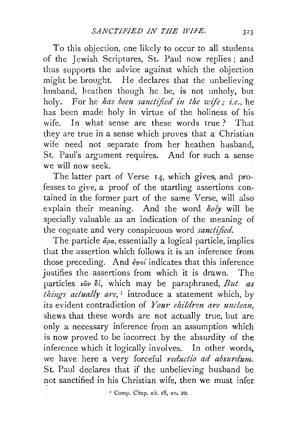To this objection, one likely to occur to all students, of the Jewish Scriptures, St. Paul now replies ; and thus supports the advice against which the objection might be brought. He declares that the unbelieving husband, heathen though he be, is not unholy, but holy. For he *has been sanctified in the wife; i.e.,* he has been made holy in virtue of the holiness of his wife. In what sense are these words true? That they are true in a sense which proves that a Christian wife need not separate from her heathen husband, St. Paul's argument requires. And for such a sense we will now seek.

The latter part of Verse 14, which gives, and professes to give, a proof of the startling assertions contained in the former part of the same Verse, will also explain their meaning. And the word *holy* will be specially valuable as an indication of the meaning of the cognate and very conspicuous word *sanctified.* 

The particle  $\ddot{a}\rho a$ , essentially a logical particle, implies that the assertion which follows it is an inference from those preceding. And  $\epsilon_{\pi\epsilon}i$  indicates that this inference justifies the assertions from which it is drawn. The particles  $\nu \nabla \nu \delta$ ; which may be paraphrased, *But as thiugs actually are,* 1 introduce a statement which, by its evident contradiction of *Your children are unclean,*  shews that these words are not actually true, but are only a necessary inference from an assumption which is now proved to be incorrect by the absurdity of the inference which it logically involves. In other words, we have here a very forceful *reductio ad absurdum.*  St. Paul declares that if the unbelieving husband be not sanctified in his Christian wife, then we must infer

' Comp. Chap. xii. r8, xv. 20.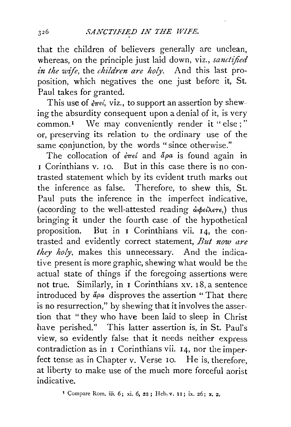that the children of believers generally are unclean, whereas, on the principle just laid down, viz., *sanctified in the wife*, the *children are holy*. And this last proposition, which negatives the one just before it, St. Paul takes for granted.

This use of  $\frac{\partial \pi}{\partial t}$ , viz., to support an assertion by shew ing the absurdity consequent upon a denial of it, is very common.<sup>1</sup> We may conveniently render it "else;" or, preserving its relation tu the ordinary use of the same conjunction, by the words "since otherwise."

The collocation of  $\epsilon \pi \epsilon i$  and  $\alpha \rho a$  is found again in **1** Corinthians v. 10. But in this case there is no contrasted statement which by its evident truth marks out the inference as false. Therefore, to shew this, St. Paul puts the inference in the imperfect indicative, (according to the well-attested reading  $\phi \phi \epsilon \lambda \epsilon \tau \epsilon$ ,) thus bringing **it** under the fourth case . of the hypothetical proposition. But in I Corinthians vii. 14, the contrasted and evidently correct statement, *But now are they holy,* makes this unnecessary. And the indicative present is more graphic, shewing what would be the actual state of things if the foregoing assertions were not true. Similarly, in 1 Corinthians xv. 18, a sentence introduced by  $\ddot{a}\rho a$  disproves the assertion "That there is no resurrection," by shewing that it involves the assertion that "they who have been laid to sleep in Christ have perished." This latter assertion is, in St. Paul's view, so evidently false that it needs neither express contradiction as in  $I$  Corinthians vii.  $I_4$ , nor the imperfect tense as in Chapter v. Verse 10. He is, therefore, at liberty to make use of the much more forceful aorist indicative.

<sup>1</sup> Compare Rom. iii. 6; xi. 6, 22; Heb. v. 11; ix. 26; x. 2.

326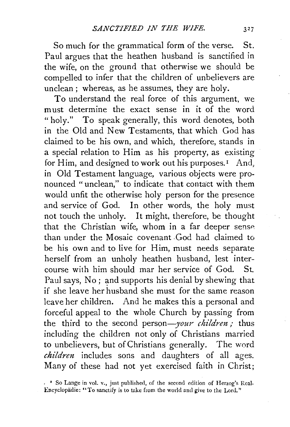So much for the grammatical form of the verse. St. Paul argues that the heathen husband is sanctified in the wife, on the ground that otherwise we should be compelled to infer that the children of unbelievers are unclean; whereas, as he assumes, they are holy.

To understand the real force of this argument, we must determine the exact sense in it of the word "holy." To speak generally, this word denotes, both in the Old and New Testaments, that which God has claimed to be his own, and which, therefore, stands in a special relation to Him as his property, as existing for Him, and designed to work out his purposes.<sup>1</sup> And, in Old Testament language, various objects were pronounced "unclean," to indicate that contact with them would unfit the otherwise holy person for the presence and service of God. In other words, the holy must not touch the unholy. It might, therefore, be thought that the Christian wife, whom in a far deeper sense than under the Mosaic covenant .God had claimed to be his own and to live for Him, must needs separate herself from an unholy heathen husband, lest intercourse with him should mar her service of God. St. Paul says, No; and supports his denial by shewing that if she leave her husband she must for the same reason leave her children. And he makes this a personal and forceful appeal to the whole Church by passing from the third to the second person-your *children* ; thus including the children not only of Christians married to unbelievers, but ofChristians generally. The word *children* includes sons and daughters of all ages. Many of these had not yet exercised faith in Christ;

<sup>. &</sup>lt;sup>I</sup> So Lange in vol. v., just published, of the second edition of Herzog's Real-Encyclopadie: "To sanctify is to take from the world ancl give to the Lord."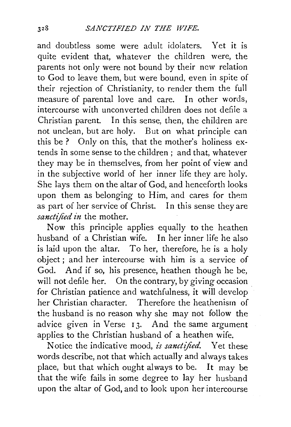and doubtless some were adult idolaters. Yet it is quite evident that, whatever the children were, the parents hot only were not bound by their new relation to God to leave them, but were bound, even in spite of their rejection of Christianity, to render them the full measure of parental love and care. In other words, intercourse with unconverted children does not defile a Christian parent. In this sense, then, the children are not unclean, but are holy. But on what principle can this be ? Only on this, that the mother's holiness extends in some sense to the children ; and that, whatever they may be in themselves, from her point of view and in the subjective world of her inner life they are holy. She lays them on the altar of God, and henceforth looks upon them as belonging to Him, and cares for them as part of her service of Christ. In this sense they are *sanctified in* the mother.

Now this principle applies equally to the heathen husband of a Christian wife. In her inner life he also is laid upon the altar. To her, therefore, he is a holy object ; and her intercourse with him is a service of God. And if so, his presence, heathen though he be, will not defile her. On the contrary, by giving occasion for Christian patience and watchfulness, it will develop her Christian character. Therefore the heathenism of the husband is no reason why she may not follow the advice given in Verse 13. And the same argument applies to the Christian husband of a heathen wife.

Notice the indicative mood, *is sanctified.* Yet these words describe, not that which actually and always takes place, but that which ought always to be. It may be that the wife fails in some degree to lay her husband upon the altar of God, and to look upon her intercourse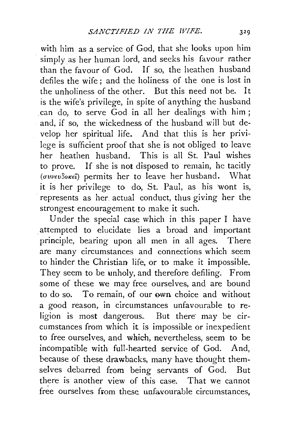with him as a service of God, that she looks upon him simply as her human lord, and seeks his favour rather than the favour of God. If so, the heathen husband defiles the wife ; and the holiness of the one is lost in the unholiness of the other. But this need not be. It is the wife's privilege, in spite of anything the husband .can do, to serve God in all her dealings with him; and, if so, the wickedness of the husband will but develop her spiritual life. And that this is her privilege is sufficient proof that she is not obliged to leave her heathen husband. This is all St. Paul wishes to prove. If she is not disposed to remain, he tacitly  $(\sigma v \nu \epsilon v \delta \alpha \epsilon \hat{\iota})$  permits her to leave her husband. What it is her privilege to do, St. Paul, as his wont is, represents as her actual conduct, thus giving her the strongest encouragement to make it such.

Under the special case which in this paper I have . attempted to elucidate lies a broad and important principle, bearing upon all men in all ages. There are many circumstances and connections which seem to hinder the Christian life, or to make it impossible. They seem to be unholy, and therefore defiling. From some of these we may free ourselves, and are bound to do so. To remain, of our own choice and without a good reason, in circumstances unfavourable to religion is most dangerous. But there may be circumstances from which it is impossible or inexpedient to free ourselves, and which, nevertheless, seem to be incompatible with full-hearted service of God. And, because of these drawbacks, many have thought themselves debarred from being servants of God. But there is another view of this case. That we cannot free ourselves from these unfavourable circumstances,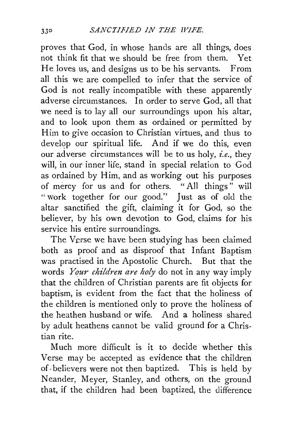proves that God, in whose hands are all things, does not think fit that we should be free from them. Yet He loves us, and designs us to be his servants. From all this we are compelled to infer that the service of God is not really incompatible with these apparently adverse circumstances. In order to serve God, all that we need is to lay all our surroundings upon his altar, and to look upon them as ordained or permitted by Him to give occasion to Christian virtues, and thus to develop our spiritual life. And if we do this, even our adverse circumstances will be to us holy, *i.e.,* they will, in our inner life, stand in special relation to God as ordained by Him, and as working out his purposes of mercy for us and for others. " All things " will "work together for our good.'' Just as of old the altar sanctified the gift, claiming it for God, so the believer, by his own devotion to God, claims for his service his entire surroundings.

The Verse we have been studying has been claimed both as proof and as disproof that Infant Baptism was practised in the Apostolic Church. But that the words *Your children are holy* do not in any way imply that the children of Christian parents are fit objects for baptism, is evident from the fact that the holiness of the children is mentioned only to prove the holiness of the heathen husband or wife. And a holiness shared by adult heathens cannot be valid ground for a Christian rite.

Much more difficult is it to decide whether this Verse may be accepted as evidence that the children of· believers were not then baptized. This is held by Neander, Meyer, Stanley, and others, on the ground that, if the children had been baptized, the difference